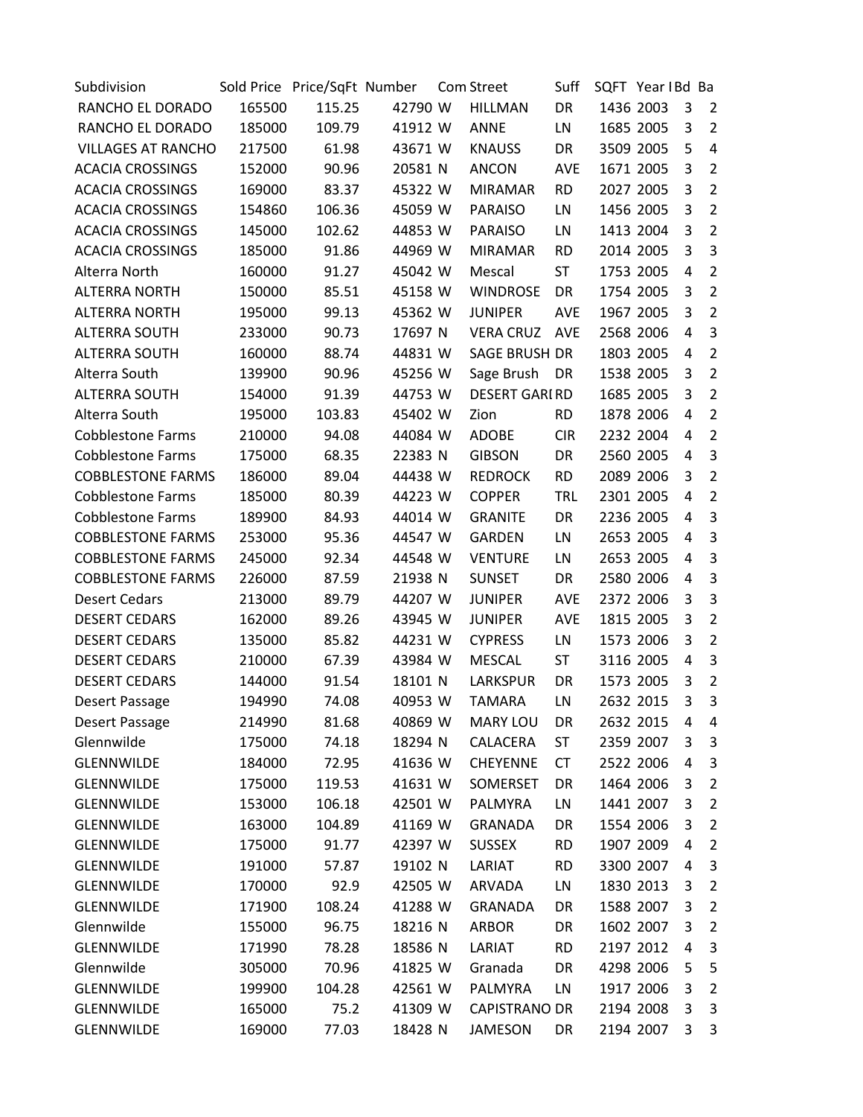| Subdivision               |        | Sold Price Price/SqFt Number |         | <b>Com Street</b>    | Suff       | SQFT Year IBd Ba |           |   |                |
|---------------------------|--------|------------------------------|---------|----------------------|------------|------------------|-----------|---|----------------|
| RANCHO EL DORADO          | 165500 | 115.25                       | 42790 W | <b>HILLMAN</b>       | DR         |                  | 1436 2003 | 3 | 2              |
| RANCHO EL DORADO          | 185000 | 109.79                       | 41912 W | <b>ANNE</b>          | LN         |                  | 1685 2005 | 3 | $\overline{2}$ |
| <b>VILLAGES AT RANCHO</b> | 217500 | 61.98                        | 43671 W | <b>KNAUSS</b>        | DR         |                  | 3509 2005 | 5 | 4              |
| <b>ACACIA CROSSINGS</b>   | 152000 | 90.96                        | 20581 N | <b>ANCON</b>         | <b>AVE</b> |                  | 1671 2005 | 3 | $\overline{2}$ |
| <b>ACACIA CROSSINGS</b>   | 169000 | 83.37                        | 45322 W | <b>MIRAMAR</b>       | <b>RD</b>  |                  | 2027 2005 | 3 | $\overline{2}$ |
| <b>ACACIA CROSSINGS</b>   | 154860 | 106.36                       | 45059 W | <b>PARAISO</b>       | LN         |                  | 1456 2005 | 3 | $\overline{2}$ |
| <b>ACACIA CROSSINGS</b>   | 145000 | 102.62                       | 44853 W | <b>PARAISO</b>       | LN         |                  | 1413 2004 | 3 | $\overline{2}$ |
| <b>ACACIA CROSSINGS</b>   | 185000 | 91.86                        | 44969 W | <b>MIRAMAR</b>       | <b>RD</b>  |                  | 2014 2005 | 3 | 3              |
| Alterra North             | 160000 | 91.27                        | 45042 W | Mescal               | ST         |                  | 1753 2005 | 4 | $\overline{2}$ |
| <b>ALTERRA NORTH</b>      | 150000 | 85.51                        | 45158 W | <b>WINDROSE</b>      | DR         |                  | 1754 2005 | 3 | $\overline{2}$ |
| <b>ALTERRA NORTH</b>      | 195000 | 99.13                        | 45362 W | <b>JUNIPER</b>       | <b>AVE</b> |                  | 1967 2005 | 3 | $\overline{2}$ |
| <b>ALTERRA SOUTH</b>      | 233000 | 90.73                        | 17697 N | <b>VERA CRUZ</b>     | <b>AVE</b> |                  | 2568 2006 | 4 | 3              |
| <b>ALTERRA SOUTH</b>      | 160000 | 88.74                        | 44831 W | SAGE BRUSH DR        |            |                  | 1803 2005 | 4 | $\overline{2}$ |
| Alterra South             | 139900 | 90.96                        | 45256 W | Sage Brush           | DR         |                  | 1538 2005 | 3 | $\overline{2}$ |
| <b>ALTERRA SOUTH</b>      | 154000 | 91.39                        | 44753 W | <b>DESERT GARIRD</b> |            |                  | 1685 2005 | 3 | $\overline{2}$ |
| Alterra South             | 195000 | 103.83                       | 45402 W | Zion                 | <b>RD</b>  |                  | 1878 2006 | 4 | $\overline{2}$ |
| <b>Cobblestone Farms</b>  | 210000 | 94.08                        | 44084 W | <b>ADOBE</b>         | <b>CIR</b> |                  | 2232 2004 | 4 | $\overline{2}$ |
| <b>Cobblestone Farms</b>  | 175000 | 68.35                        | 22383 N | <b>GIBSON</b>        | DR         |                  | 2560 2005 | 4 | 3              |
| <b>COBBLESTONE FARMS</b>  | 186000 | 89.04                        | 44438 W | <b>REDROCK</b>       | <b>RD</b>  |                  | 2089 2006 | 3 | $\overline{2}$ |
| Cobblestone Farms         | 185000 | 80.39                        | 44223 W | <b>COPPER</b>        | <b>TRL</b> |                  | 2301 2005 | 4 | $\overline{2}$ |
| <b>Cobblestone Farms</b>  | 189900 | 84.93                        | 44014 W | <b>GRANITE</b>       | DR         |                  | 2236 2005 | 4 | 3              |
| <b>COBBLESTONE FARMS</b>  | 253000 | 95.36                        | 44547 W | <b>GARDEN</b>        | LN         |                  | 2653 2005 | 4 | 3              |
| <b>COBBLESTONE FARMS</b>  | 245000 | 92.34                        | 44548 W | <b>VENTURE</b>       | LN         |                  | 2653 2005 | 4 | 3              |
| <b>COBBLESTONE FARMS</b>  | 226000 | 87.59                        | 21938 N | <b>SUNSET</b>        | DR         |                  | 2580 2006 | 4 | 3              |
| <b>Desert Cedars</b>      | 213000 | 89.79                        | 44207 W | <b>JUNIPER</b>       | <b>AVE</b> |                  | 2372 2006 | 3 | 3              |
| <b>DESERT CEDARS</b>      | 162000 | 89.26                        | 43945 W | <b>JUNIPER</b>       | AVE        |                  | 1815 2005 | 3 | $\overline{2}$ |
| <b>DESERT CEDARS</b>      | 135000 | 85.82                        | 44231 W | <b>CYPRESS</b>       | LN         |                  | 1573 2006 | 3 | $\overline{2}$ |
| <b>DESERT CEDARS</b>      | 210000 | 67.39                        | 43984 W | <b>MESCAL</b>        | ST         |                  | 3116 2005 | 4 | 3              |
| <b>DESERT CEDARS</b>      | 144000 | 91.54                        | 18101 N | LARKSPUR             | DR         |                  | 1573 2005 | 3 | $\overline{2}$ |
| Desert Passage            | 194990 | 74.08                        | 40953 W | <b>TAMARA</b>        | LN         |                  | 2632 2015 | 3 | 3              |
| Desert Passage            | 214990 | 81.68                        | 40869 W | <b>MARY LOU</b>      | DR         |                  | 2632 2015 | 4 | 4              |
| Glennwilde                | 175000 | 74.18                        | 18294 N | CALACERA             | <b>ST</b>  |                  | 2359 2007 | 3 | 3              |
| <b>GLENNWILDE</b>         | 184000 | 72.95                        | 41636 W | <b>CHEYENNE</b>      | <b>CT</b>  |                  | 2522 2006 | 4 | 3              |
| <b>GLENNWILDE</b>         | 175000 | 119.53                       | 41631 W | SOMERSET             | DR         |                  | 1464 2006 | 3 | $\overline{2}$ |
| <b>GLENNWILDE</b>         | 153000 | 106.18                       | 42501 W | <b>PALMYRA</b>       | LN         |                  | 1441 2007 | 3 | $\overline{2}$ |
| <b>GLENNWILDE</b>         | 163000 | 104.89                       | 41169 W | <b>GRANADA</b>       | DR         |                  | 1554 2006 | 3 | $\overline{2}$ |
| <b>GLENNWILDE</b>         | 175000 | 91.77                        | 42397 W | <b>SUSSEX</b>        | <b>RD</b>  |                  | 1907 2009 | 4 | $\overline{2}$ |
| <b>GLENNWILDE</b>         | 191000 | 57.87                        | 19102 N | LARIAT               | <b>RD</b>  |                  | 3300 2007 | 4 | 3              |
| <b>GLENNWILDE</b>         | 170000 | 92.9                         | 42505 W | <b>ARVADA</b>        | LN         |                  | 1830 2013 | 3 | $\overline{2}$ |
| <b>GLENNWILDE</b>         | 171900 | 108.24                       | 41288 W | GRANADA              | DR         |                  | 1588 2007 | 3 | $\overline{2}$ |
| Glennwilde                | 155000 | 96.75                        | 18216 N | <b>ARBOR</b>         | DR         |                  | 1602 2007 | 3 | $\overline{2}$ |
| <b>GLENNWILDE</b>         | 171990 | 78.28                        | 18586 N | LARIAT               | <b>RD</b>  |                  | 2197 2012 | 4 | 3              |
| Glennwilde                | 305000 | 70.96                        | 41825 W | Granada              | DR         |                  | 4298 2006 | 5 | 5              |
| <b>GLENNWILDE</b>         | 199900 | 104.28                       | 42561 W | PALMYRA              | LN         |                  | 1917 2006 | 3 | $\overline{2}$ |
| <b>GLENNWILDE</b>         | 165000 | 75.2                         | 41309 W | <b>CAPISTRANO DR</b> |            |                  | 2194 2008 | 3 | 3              |
| <b>GLENNWILDE</b>         | 169000 | 77.03                        | 18428 N | <b>JAMESON</b>       | DR         |                  | 2194 2007 | 3 | 3              |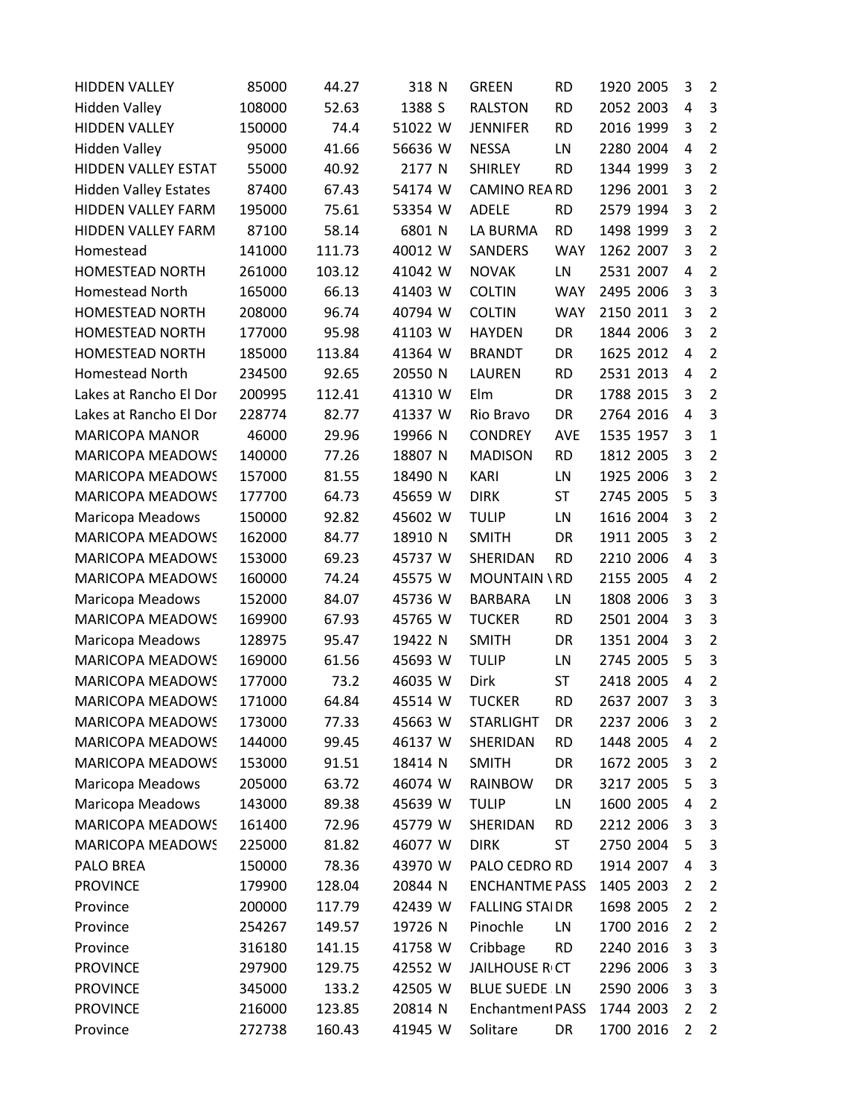| <b>HIDDEN VALLEY</b>         | 85000  | 44.27  | 318 N   | <b>GREEN</b>          | <b>RD</b>  | 1920 2005 | 3              | $\overline{2}$ |
|------------------------------|--------|--------|---------|-----------------------|------------|-----------|----------------|----------------|
| <b>Hidden Valley</b>         | 108000 | 52.63  | 1388 S  | <b>RALSTON</b>        | <b>RD</b>  | 2052 2003 | 4              | 3              |
| <b>HIDDEN VALLEY</b>         | 150000 | 74.4   | 51022 W | <b>JENNIFER</b>       | <b>RD</b>  | 2016 1999 | 3              | $\overline{2}$ |
| <b>Hidden Valley</b>         | 95000  | 41.66  | 56636 W | <b>NESSA</b>          | LN         | 2280 2004 | $\overline{4}$ | $\overline{2}$ |
| <b>HIDDEN VALLEY ESTAT</b>   | 55000  | 40.92  | 2177 N  | <b>SHIRLEY</b>        | <b>RD</b>  | 1344 1999 | 3              | $\overline{2}$ |
| <b>Hidden Valley Estates</b> | 87400  | 67.43  | 54174 W | <b>CAMINO REARD</b>   |            | 1296 2001 | 3              | $\overline{2}$ |
| HIDDEN VALLEY FARM           | 195000 | 75.61  | 53354 W | <b>ADELE</b>          | <b>RD</b>  | 2579 1994 | 3              | $\overline{2}$ |
| HIDDEN VALLEY FARM           | 87100  | 58.14  | 6801 N  | LA BURMA              | <b>RD</b>  | 1498 1999 | 3              | $\overline{2}$ |
| Homestead                    | 141000 | 111.73 | 40012 W | SANDERS               | <b>WAY</b> | 1262 2007 | 3              | $\overline{2}$ |
| <b>HOMESTEAD NORTH</b>       | 261000 | 103.12 | 41042 W | <b>NOVAK</b>          | LN         | 2531 2007 | $\overline{4}$ | $\overline{2}$ |
| Homestead North              | 165000 | 66.13  | 41403 W | <b>COLTIN</b>         | <b>WAY</b> | 2495 2006 | 3              | $\overline{3}$ |
| <b>HOMESTEAD NORTH</b>       | 208000 | 96.74  | 40794 W | <b>COLTIN</b>         | <b>WAY</b> | 2150 2011 | 3              | $\overline{2}$ |
| HOMESTEAD NORTH              | 177000 | 95.98  | 41103 W | <b>HAYDEN</b>         | DR         | 1844 2006 | 3              | $\overline{2}$ |
| HOMESTEAD NORTH              | 185000 | 113.84 | 41364 W | <b>BRANDT</b>         | DR         | 1625 2012 | 4              | $\overline{2}$ |
| Homestead North              | 234500 | 92.65  | 20550 N | <b>LAUREN</b>         | <b>RD</b>  | 2531 2013 | 4              | $\overline{2}$ |
| Lakes at Rancho El Dor       | 200995 | 112.41 | 41310 W | Elm                   | DR         | 1788 2015 | 3              | $\overline{2}$ |
| Lakes at Rancho El Dor       | 228774 | 82.77  | 41337 W | Rio Bravo             | DR         | 2764 2016 | 4              | 3              |
| <b>MARICOPA MANOR</b>        | 46000  | 29.96  | 19966 N | <b>CONDREY</b>        | AVE        | 1535 1957 | 3              | $\mathbf{1}$   |
| <b>MARICOPA MEADOWS</b>      | 140000 | 77.26  | 18807 N | <b>MADISON</b>        | <b>RD</b>  | 1812 2005 | 3              | $\overline{2}$ |
| MARICOPA MEADOWS             | 157000 | 81.55  | 18490 N | <b>KARI</b>           | LN         | 1925 2006 | 3              | $\overline{2}$ |
| MARICOPA MEADOWS             | 177700 | 64.73  | 45659 W | <b>DIRK</b>           | <b>ST</b>  | 2745 2005 | 5              | 3              |
| Maricopa Meadows             | 150000 | 92.82  | 45602 W | <b>TULIP</b>          | LN         | 1616 2004 | 3              | $\overline{2}$ |
| MARICOPA MEADOWS             | 162000 | 84.77  | 18910 N | <b>SMITH</b>          | DR         | 1911 2005 | 3              | $\overline{2}$ |
| MARICOPA MEADOWS             | 153000 | 69.23  | 45737 W | SHERIDAN              | <b>RD</b>  | 2210 2006 | 4              | 3              |
| MARICOPA MEADOWS             | 160000 | 74.24  | 45575 W | <b>MOUNTAIN \ RD</b>  |            | 2155 2005 | 4              | $\overline{2}$ |
| Maricopa Meadows             | 152000 | 84.07  | 45736 W | <b>BARBARA</b>        | LN         | 1808 2006 | 3              | 3              |
| MARICOPA MEADOWS             | 169900 | 67.93  | 45765 W | <b>TUCKER</b>         | <b>RD</b>  | 2501 2004 | 3              | 3              |
| Maricopa Meadows             | 128975 | 95.47  | 19422 N | <b>SMITH</b>          | DR         | 1351 2004 | 3              | $\overline{2}$ |
| <b>MARICOPA MEADOWS</b>      | 169000 | 61.56  | 45693 W | <b>TULIP</b>          | LN         | 2745 2005 | 5              | 3              |
| MARICOPA MEADOWS             | 177000 | 73.2   | 46035 W | Dirk                  | ST         | 2418 2005 | 4              | $\overline{2}$ |
| <b>MARICOPA MEADOWS</b>      | 171000 | 64.84  | 45514 W | <b>TUCKER</b>         | <b>RD</b>  | 2637 2007 | 3              | 3              |
| <b>MARICOPA MEADOWS</b>      | 173000 | 77.33  | 45663 W | <b>STARLIGHT</b>      | DR         | 2237 2006 | 3              | $\overline{2}$ |
| MARICOPA MEADOWS             | 144000 | 99.45  | 46137 W | SHERIDAN              | <b>RD</b>  | 1448 2005 | 4              | $\overline{2}$ |
| <b>MARICOPA MEADOWS</b>      | 153000 | 91.51  | 18414 N | <b>SMITH</b>          | DR         | 1672 2005 | 3              | $\overline{2}$ |
| Maricopa Meadows             | 205000 | 63.72  | 46074 W | <b>RAINBOW</b>        | DR         | 3217 2005 | 5              | 3              |
| Maricopa Meadows             | 143000 | 89.38  | 45639 W | <b>TULIP</b>          | LN         | 1600 2005 | 4              | $\overline{2}$ |
| <b>MARICOPA MEADOWS</b>      | 161400 | 72.96  | 45779 W | SHERIDAN              | <b>RD</b>  | 2212 2006 | 3              | 3              |
| MARICOPA MEADOWS             | 225000 | 81.82  | 46077 W | <b>DIRK</b>           | <b>ST</b>  | 2750 2004 | 5              | 3              |
| PALO BREA                    | 150000 | 78.36  | 43970 W | PALO CEDRO RD         |            | 1914 2007 | 4              | 3              |
| <b>PROVINCE</b>              | 179900 | 128.04 | 20844 N | <b>ENCHANTME PASS</b> |            | 1405 2003 | 2              | $\overline{2}$ |
| Province                     | 200000 | 117.79 | 42439 W | <b>FALLING STAIDR</b> |            | 1698 2005 | $\overline{2}$ | $\overline{2}$ |
| Province                     | 254267 | 149.57 | 19726 N | Pinochle              | LN         | 1700 2016 | 2              | $\overline{2}$ |
| Province                     | 316180 | 141.15 | 41758 W | Cribbage              | <b>RD</b>  | 2240 2016 | 3              | 3              |
| <b>PROVINCE</b>              | 297900 | 129.75 | 42552 W | <b>JAILHOUSE R CT</b> |            | 2296 2006 | 3              | 3              |
| <b>PROVINCE</b>              | 345000 | 133.2  | 42505 W | <b>BLUE SUEDE LN</b>  |            | 2590 2006 | 3              | 3              |
| <b>PROVINCE</b>              | 216000 | 123.85 | 20814 N | Enchantment PASS      |            | 1744 2003 | 2              | $\overline{2}$ |
| Province                     | 272738 | 160.43 | 41945 W | Solitare              | DR         | 1700 2016 | 2              | $\overline{2}$ |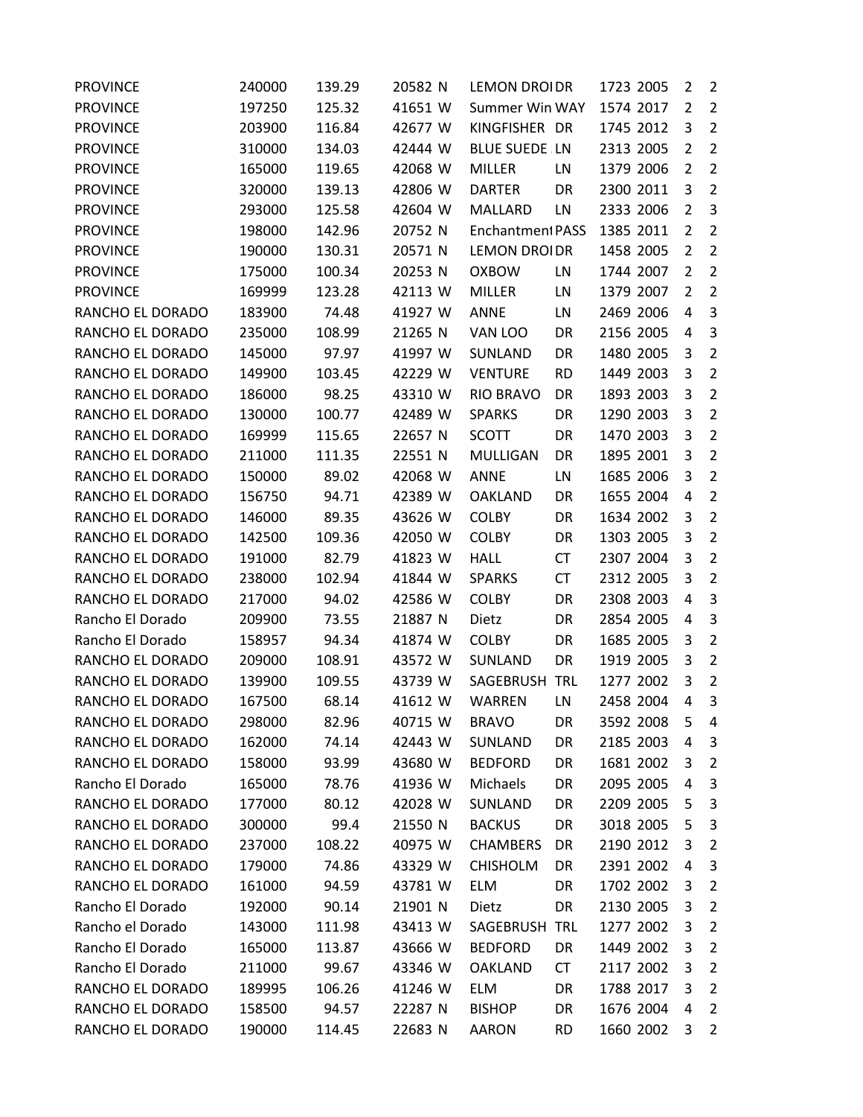| <b>PROVINCE</b>  | 240000 | 139.29 | 20582 N | <b>LEMON DROIDR</b>     |           | 1723 2005 | 2              | $\overline{2}$ |
|------------------|--------|--------|---------|-------------------------|-----------|-----------|----------------|----------------|
| <b>PROVINCE</b>  | 197250 | 125.32 | 41651 W | <b>Summer Win WAY</b>   |           | 1574 2017 | 2              | $\overline{2}$ |
| <b>PROVINCE</b>  | 203900 | 116.84 | 42677 W | KINGFISHER DR           |           | 1745 2012 | 3              | $\overline{2}$ |
| <b>PROVINCE</b>  | 310000 | 134.03 | 42444 W | <b>BLUE SUEDE LN</b>    |           | 2313 2005 | $\overline{2}$ | $\overline{2}$ |
| <b>PROVINCE</b>  | 165000 | 119.65 | 42068 W | <b>MILLER</b>           | LN        | 1379 2006 | $\overline{2}$ | $\overline{2}$ |
| <b>PROVINCE</b>  | 320000 | 139.13 | 42806 W | <b>DARTER</b>           | DR        | 2300 2011 | 3              | $\overline{2}$ |
| <b>PROVINCE</b>  | 293000 | 125.58 | 42604 W | MALLARD                 | LN        | 2333 2006 | $\overline{2}$ | 3              |
| <b>PROVINCE</b>  | 198000 | 142.96 | 20752 N | <b>Enchantment PASS</b> |           | 1385 2011 | 2              | $\overline{2}$ |
| <b>PROVINCE</b>  | 190000 | 130.31 | 20571 N | <b>LEMON DROIDR</b>     |           | 1458 2005 | $\overline{2}$ | $\overline{2}$ |
| <b>PROVINCE</b>  | 175000 | 100.34 | 20253 N | <b>OXBOW</b>            | LN        | 1744 2007 | $\overline{2}$ | $\overline{2}$ |
| <b>PROVINCE</b>  | 169999 | 123.28 | 42113 W | <b>MILLER</b>           | LN        | 1379 2007 | 2              | $\overline{2}$ |
| RANCHO EL DORADO | 183900 | 74.48  | 41927 W | <b>ANNE</b>             | LN        | 2469 2006 | 4              | 3              |
| RANCHO EL DORADO | 235000 | 108.99 | 21265 N | VAN LOO                 | DR        | 2156 2005 | 4              | 3              |
| RANCHO EL DORADO | 145000 | 97.97  | 41997 W | SUNLAND                 | DR        | 1480 2005 | 3              | $\overline{2}$ |
| RANCHO EL DORADO | 149900 | 103.45 | 42229 W | <b>VENTURE</b>          | <b>RD</b> | 1449 2003 | 3              | $\overline{2}$ |
| RANCHO EL DORADO | 186000 | 98.25  | 43310 W | <b>RIO BRAVO</b>        | DR        | 1893 2003 | 3              | $\overline{2}$ |
| RANCHO EL DORADO | 130000 | 100.77 | 42489 W | <b>SPARKS</b>           | DR        | 1290 2003 | 3              | $\overline{2}$ |
| RANCHO EL DORADO | 169999 | 115.65 | 22657 N | <b>SCOTT</b>            | DR        | 1470 2003 | 3              | $\overline{2}$ |
| RANCHO EL DORADO | 211000 | 111.35 | 22551 N | <b>MULLIGAN</b>         | DR        | 1895 2001 | 3              | $\overline{2}$ |
| RANCHO EL DORADO | 150000 | 89.02  | 42068 W | <b>ANNE</b>             | LN        | 1685 2006 | 3              | $\overline{2}$ |
| RANCHO EL DORADO | 156750 | 94.71  | 42389 W | <b>OAKLAND</b>          | DR        | 1655 2004 | 4              | $\overline{2}$ |
| RANCHO EL DORADO | 146000 | 89.35  | 43626 W | <b>COLBY</b>            | DR        | 1634 2002 | 3              | $\overline{2}$ |
| RANCHO EL DORADO | 142500 | 109.36 | 42050 W | <b>COLBY</b>            | DR        | 1303 2005 | 3              | $\overline{2}$ |
| RANCHO EL DORADO | 191000 | 82.79  | 41823 W | <b>HALL</b>             | <b>CT</b> | 2307 2004 | 3              | $\overline{2}$ |
| RANCHO EL DORADO | 238000 | 102.94 | 41844 W | <b>SPARKS</b>           | <b>CT</b> | 2312 2005 | 3              | $\overline{2}$ |
| RANCHO EL DORADO | 217000 | 94.02  | 42586 W | <b>COLBY</b>            | DR        | 2308 2003 | 4              | 3              |
| Rancho El Dorado | 209900 | 73.55  | 21887 N | Dietz                   | DR        | 2854 2005 | 4              | 3              |
| Rancho El Dorado | 158957 | 94.34  | 41874 W | <b>COLBY</b>            | DR        | 1685 2005 | 3              | $\overline{2}$ |
| RANCHO EL DORADO | 209000 | 108.91 | 43572 W | SUNLAND                 | DR        | 1919 2005 | 3              | $\overline{2}$ |
| RANCHO EL DORADO | 139900 | 109.55 | 43739 W | SAGEBRUSH TRL           |           | 1277 2002 | 3              | $\overline{2}$ |
| RANCHO EL DORADO | 167500 | 68.14  | 41612 W | <b>WARREN</b>           | LN        | 2458 2004 | 4              | 3              |
| RANCHO EL DORADO | 298000 | 82.96  | 40715 W | <b>BRAVO</b>            | DR        | 3592 2008 | 5              | 4              |
| RANCHO EL DORADO | 162000 | 74.14  | 42443 W | SUNLAND                 | DR        | 2185 2003 | 4              | 3              |
| RANCHO EL DORADO | 158000 | 93.99  | 43680 W | <b>BEDFORD</b>          | DR        | 1681 2002 | 3              | $\overline{2}$ |
| Rancho El Dorado | 165000 | 78.76  | 41936 W | Michaels                | DR        | 2095 2005 | 4              | 3              |
| RANCHO EL DORADO | 177000 | 80.12  | 42028 W | SUNLAND                 | DR        | 2209 2005 | 5              | 3              |
| RANCHO EL DORADO | 300000 | 99.4   | 21550 N | <b>BACKUS</b>           | DR        | 3018 2005 | 5              | 3              |
| RANCHO EL DORADO | 237000 | 108.22 | 40975 W | <b>CHAMBERS</b>         | DR        | 2190 2012 | 3              | $\overline{2}$ |
| RANCHO EL DORADO | 179000 | 74.86  | 43329 W | <b>CHISHOLM</b>         | DR        | 2391 2002 | 4              | 3              |
| RANCHO EL DORADO | 161000 | 94.59  | 43781 W | <b>ELM</b>              | DR        | 1702 2002 | 3              | $\overline{2}$ |
| Rancho El Dorado | 192000 | 90.14  | 21901 N | Dietz                   | DR        | 2130 2005 | 3              | $\overline{2}$ |
| Rancho el Dorado | 143000 | 111.98 | 43413 W | SAGEBRUSH TRL           |           | 1277 2002 | 3              | 2              |
| Rancho El Dorado | 165000 | 113.87 | 43666 W | <b>BEDFORD</b>          | DR        | 1449 2002 | 3              | $\overline{2}$ |
| Rancho El Dorado | 211000 | 99.67  | 43346 W | <b>OAKLAND</b>          | CT        | 2117 2002 | 3              | $\overline{2}$ |
| RANCHO EL DORADO | 189995 | 106.26 | 41246 W | <b>ELM</b>              | DR        | 1788 2017 | 3              | $\overline{2}$ |
| RANCHO EL DORADO | 158500 | 94.57  | 22287 N | <b>BISHOP</b>           | DR        | 1676 2004 | 4              | $\overline{2}$ |
| RANCHO EL DORADO | 190000 | 114.45 | 22683 N | AARON                   | <b>RD</b> | 1660 2002 | 3              | $\overline{2}$ |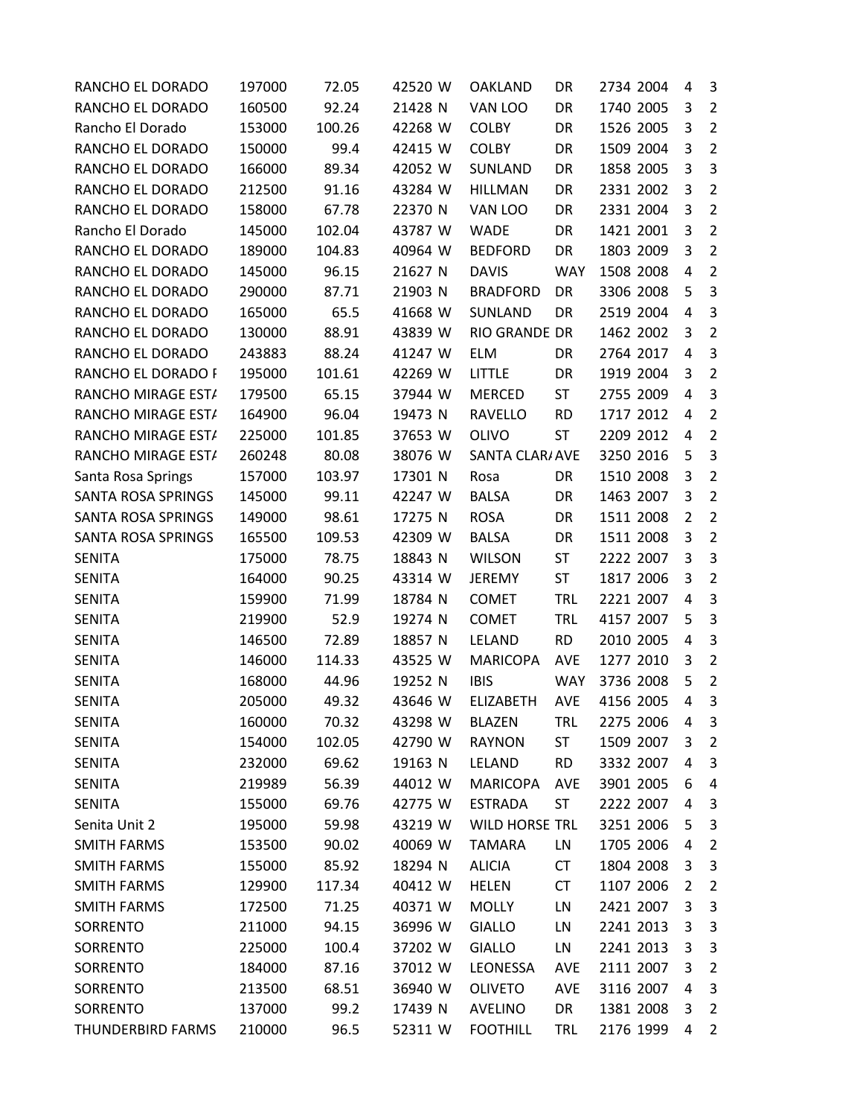| RANCHO EL DORADO          | 197000 | 72.05  | 42520 W | <b>OAKLAND</b>        | DR         | 2734 2004 | 4              | 3              |
|---------------------------|--------|--------|---------|-----------------------|------------|-----------|----------------|----------------|
| RANCHO EL DORADO          | 160500 | 92.24  | 21428 N | VAN LOO               | DR         | 1740 2005 | 3              | $\overline{2}$ |
| Rancho El Dorado          | 153000 | 100.26 | 42268 W | <b>COLBY</b>          | DR         | 1526 2005 | 3              | $\overline{2}$ |
| RANCHO EL DORADO          | 150000 | 99.4   | 42415 W | <b>COLBY</b>          | DR         | 1509 2004 | 3              | $\overline{2}$ |
| RANCHO EL DORADO          | 166000 | 89.34  | 42052 W | SUNLAND               | DR         | 1858 2005 | 3              | 3              |
| RANCHO EL DORADO          | 212500 | 91.16  | 43284 W | <b>HILLMAN</b>        | DR         | 2331 2002 | 3              | $\overline{2}$ |
| RANCHO EL DORADO          | 158000 | 67.78  | 22370 N | VAN LOO               | DR         | 2331 2004 | 3              | $\overline{2}$ |
| Rancho El Dorado          | 145000 | 102.04 | 43787 W | <b>WADE</b>           | DR         | 1421 2001 | 3              | $\overline{2}$ |
| RANCHO EL DORADO          | 189000 | 104.83 | 40964 W | <b>BEDFORD</b>        | DR         | 1803 2009 | 3              | $\overline{2}$ |
| RANCHO EL DORADO          | 145000 | 96.15  | 21627 N | <b>DAVIS</b>          | <b>WAY</b> | 1508 2008 | 4              | $\overline{2}$ |
| RANCHO EL DORADO          | 290000 | 87.71  | 21903 N | <b>BRADFORD</b>       | DR         | 3306 2008 | 5              | 3              |
| RANCHO EL DORADO          | 165000 | 65.5   | 41668 W | SUNLAND               | DR         | 2519 2004 | 4              | 3              |
| RANCHO EL DORADO          | 130000 | 88.91  | 43839 W | RIO GRANDE DR         |            | 1462 2002 | 3              | $\overline{2}$ |
| RANCHO EL DORADO          | 243883 | 88.24  | 41247 W | <b>ELM</b>            | DR         | 2764 2017 | $\overline{a}$ | 3              |
| RANCHO EL DORADO F        | 195000 | 101.61 | 42269 W | LITTLE                | DR         | 1919 2004 | 3              | $\overline{2}$ |
| RANCHO MIRAGE ESTA        | 179500 | 65.15  | 37944 W | <b>MERCED</b>         | ST         | 2755 2009 | 4              | 3              |
| RANCHO MIRAGE EST/        | 164900 | 96.04  | 19473 N | <b>RAVELLO</b>        | <b>RD</b>  | 1717 2012 | 4              | $\overline{2}$ |
| RANCHO MIRAGE EST/        | 225000 | 101.85 | 37653 W | <b>OLIVO</b>          | <b>ST</b>  | 2209 2012 | 4              | $\overline{2}$ |
| RANCHO MIRAGE EST/        | 260248 | 80.08  | 38076 W | SANTA CLAR/ AVE       |            | 3250 2016 | 5              | 3              |
| Santa Rosa Springs        | 157000 | 103.97 | 17301 N | Rosa                  | DR         | 1510 2008 | 3              | $\overline{2}$ |
| <b>SANTA ROSA SPRINGS</b> | 145000 | 99.11  | 42247 W | <b>BALSA</b>          | DR         | 1463 2007 | 3              | $\overline{2}$ |
| SANTA ROSA SPRINGS        | 149000 | 98.61  | 17275 N | <b>ROSA</b>           | DR         | 1511 2008 | $\overline{2}$ | $\overline{2}$ |
| SANTA ROSA SPRINGS        | 165500 | 109.53 | 42309 W | <b>BALSA</b>          | DR         | 1511 2008 | 3              | $\overline{2}$ |
| <b>SENITA</b>             | 175000 | 78.75  | 18843 N | <b>WILSON</b>         | ST         | 2222 2007 | 3              | 3              |
| <b>SENITA</b>             | 164000 | 90.25  | 43314 W | <b>JEREMY</b>         | ST         | 1817 2006 | 3              | $\overline{2}$ |
| <b>SENITA</b>             | 159900 | 71.99  | 18784 N | <b>COMET</b>          | <b>TRL</b> | 2221 2007 | 4              | 3              |
| <b>SENITA</b>             | 219900 | 52.9   | 19274 N | <b>COMET</b>          | <b>TRL</b> | 4157 2007 | 5              | $\mathbf{3}$   |
| <b>SENITA</b>             | 146500 | 72.89  | 18857 N | LELAND                | <b>RD</b>  | 2010 2005 | 4              | 3              |
| <b>SENITA</b>             | 146000 | 114.33 | 43525 W | <b>MARICOPA</b>       | <b>AVE</b> | 1277 2010 | 3              | $\overline{2}$ |
| <b>SENITA</b>             | 168000 | 44.96  | 19252 N | <b>IBIS</b>           | <b>WAY</b> | 3736 2008 | 5              | $\overline{2}$ |
| <b>SENITA</b>             | 205000 | 49.32  | 43646 W | <b>ELIZABETH</b>      | <b>AVE</b> | 4156 2005 | 4              | 3              |
| <b>SENITA</b>             | 160000 | 70.32  | 43298 W | <b>BLAZEN</b>         | <b>TRL</b> | 2275 2006 | 4              | 3              |
| <b>SENITA</b>             | 154000 | 102.05 | 42790 W | <b>RAYNON</b>         | ST         | 1509 2007 | 3              | $\overline{2}$ |
| <b>SENITA</b>             | 232000 | 69.62  | 19163 N | LELAND                | <b>RD</b>  | 3332 2007 | 4              | 3              |
| <b>SENITA</b>             | 219989 | 56.39  | 44012 W | <b>MARICOPA</b>       | <b>AVE</b> | 3901 2005 | 6              | 4              |
| <b>SENITA</b>             | 155000 | 69.76  | 42775 W | <b>ESTRADA</b>        | <b>ST</b>  | 2222 2007 | 4              | 3              |
| Senita Unit 2             | 195000 | 59.98  | 43219 W | <b>WILD HORSE TRL</b> |            | 3251 2006 | 5              | 3              |
| <b>SMITH FARMS</b>        | 153500 | 90.02  | 40069 W | <b>TAMARA</b>         | LN         | 1705 2006 | 4              | $\overline{2}$ |
| <b>SMITH FARMS</b>        | 155000 | 85.92  | 18294 N | <b>ALICIA</b>         | CT         | 1804 2008 | 3              | 3              |
| <b>SMITH FARMS</b>        | 129900 | 117.34 | 40412 W | <b>HELEN</b>          | <b>CT</b>  | 1107 2006 | 2              | $\overline{2}$ |
| <b>SMITH FARMS</b>        | 172500 | 71.25  | 40371 W | <b>MOLLY</b>          | LN         | 2421 2007 | 3              | 3              |
| SORRENTO                  | 211000 | 94.15  | 36996 W | <b>GIALLO</b>         | LN         | 2241 2013 | 3              | 3              |
| SORRENTO                  | 225000 | 100.4  | 37202 W | <b>GIALLO</b>         | LN         | 2241 2013 | 3              | 3              |
| SORRENTO                  | 184000 | 87.16  | 37012 W | LEONESSA              | AVE        | 2111 2007 | 3              | 2              |
| SORRENTO                  | 213500 | 68.51  | 36940 W | <b>OLIVETO</b>        | AVE        | 3116 2007 | 4              | 3              |
| SORRENTO                  | 137000 | 99.2   | 17439 N | <b>AVELINO</b>        | DR         | 1381 2008 | 3              | $\overline{2}$ |
| <b>THUNDERBIRD FARMS</b>  | 210000 | 96.5   | 52311 W | <b>FOOTHILL</b>       | <b>TRL</b> | 2176 1999 | 4              | 2              |